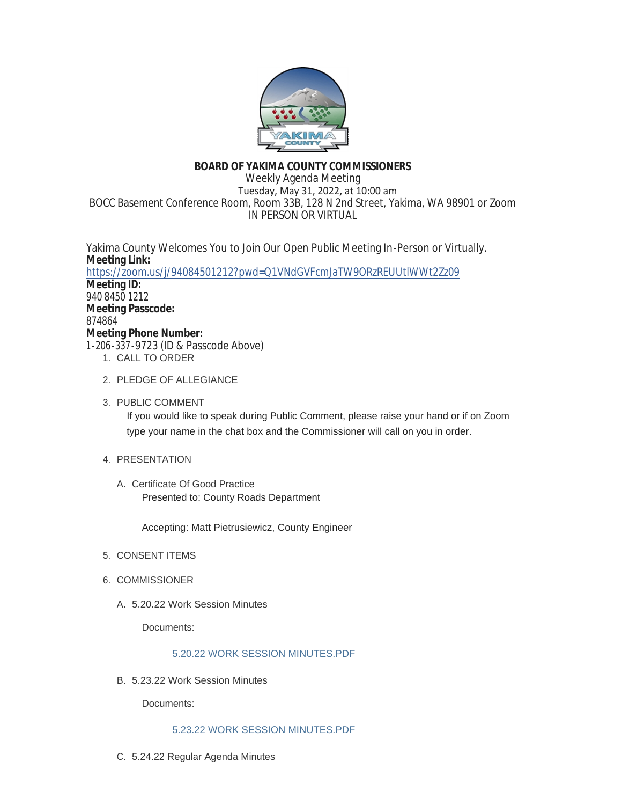

# **BOARD OF YAKIMA COUNTY COMMISSIONERS**

Weekly Agenda Meeting Tuesday, May 31, 2022, at 10:00 am BOCC Basement Conference Room, Room 33B, 128 N 2nd Street, Yakima, WA 98901 or Zoom IN PERSON OR VIRTUAL

Yakima County Welcomes You to Join Our Open Public Meeting In-Person or Virtually. **Meeting Link:** <https://zoom.us/j/94084501212?pwd=Q1VNdGVFcmJaTW9ORzREUUtlWWt2Zz09> **Meeting ID:** 940 8450 1212 **Meeting Passcode:** 874864 **Meeting Phone Number:** 1-206-337-9723 (ID & Passcode Above)

- 1. CALL TO ORDER
- 2. PLEDGE OF ALLEGIANCE
- 3. PUBLIC COMMENT If you would like to speak during Public Comment, please raise your hand or if on Zoom type your name in the chat box and the Commissioner will call on you in order.
- 4. PRESENTATION
	- A. Certificate Of Good Practice Presented to: County Roads Department

Accepting: Matt Pietrusiewicz, County Engineer

- 5. CONSENT ITEMS
- 6. COMMISSIONER
	- 5.20.22 Work Session Minutes A.

Documents:

# [5.20.22 WORK SESSION MINUTES.PDF](https://www.yakimacounty.us/AgendaCenter/ViewFile/Item/4545?fileID=16250)

5.23.22 Work Session Minutes B.

Documents:

## [5.23.22 WORK SESSION MINUTES.PDF](https://www.yakimacounty.us/AgendaCenter/ViewFile/Item/4537?fileID=16242)

5.24.22 Regular Agenda Minutes C.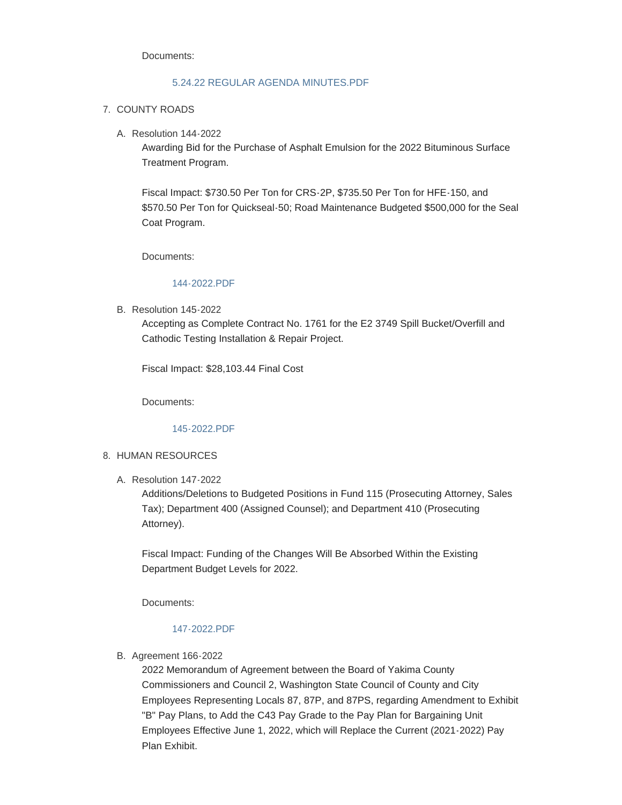Documents:

#### [5.24.22 REGULAR AGENDA MINUTES.PDF](https://www.yakimacounty.us/AgendaCenter/ViewFile/Item/4538?fileID=16243)

- 7. COUNTY ROADS
	- Resolution 144-2022 A.

Awarding Bid for the Purchase of Asphalt Emulsion for the 2022 Bituminous Surface Treatment Program.

Fiscal Impact: \$730.50 Per Ton for CRS-2P, \$735.50 Per Ton for HFE-150, and \$570.50 Per Ton for Quickseal-50; Road Maintenance Budgeted \$500,000 for the Seal Coat Program.

Documents:

#### [144-2022.PDF](https://www.yakimacounty.us/AgendaCenter/ViewFile/Item/4539?fileID=16244)

B. Resolution 145-2022

Accepting as Complete Contract No. 1761 for the E2 3749 Spill Bucket/Overfill and Cathodic Testing Installation & Repair Project.

Fiscal Impact: \$28,103.44 Final Cost

Documents:

[145-2022.PDF](https://www.yakimacounty.us/AgendaCenter/ViewFile/Item/4540?fileID=16245)

#### 8. HUMAN RESOURCES

Resolution 147-2022 A.

Additions/Deletions to Budgeted Positions in Fund 115 (Prosecuting Attorney, Sales Tax); Department 400 (Assigned Counsel); and Department 410 (Prosecuting Attorney).

Fiscal Impact: Funding of the Changes Will Be Absorbed Within the Existing Department Budget Levels for 2022.

Documents:

#### [147-2022.PDF](https://www.yakimacounty.us/AgendaCenter/ViewFile/Item/4543?fileID=16248)

B. Agreement 166-2022

2022 Memorandum of Agreement between the Board of Yakima County Commissioners and Council 2, Washington State Council of County and City Employees Representing Locals 87, 87P, and 87PS, regarding Amendment to Exhibit "B" Pay Plans, to Add the C43 Pay Grade to the Pay Plan for Bargaining Unit Employees Effective June 1, 2022, which will Replace the Current (2021-2022) Pay Plan Exhibit.